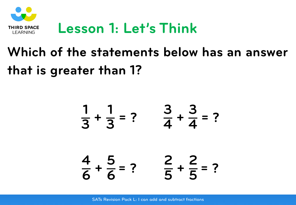

## **Which of the statements below has an answer that is greater than 1?**

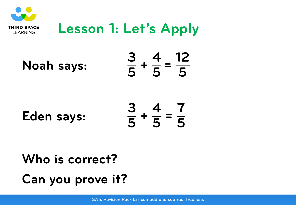

## **Lesson 1: Let's Apply**

**Noah says: <sup>3</sup>**

 $\frac{3}{5}$  + **4**  $\frac{1}{5}$  = **12 5**

**Eden says:**

**3**  $\frac{3}{5}$  + **4**  $\frac{1}{5}$  = **7 5**

**Who is correct? Can you prove it?**

SATs Revision Pack L: I can add and subtract fractions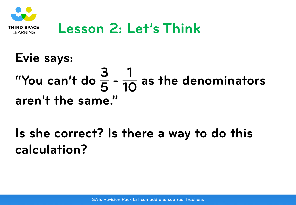

#### **Lesson 2: Let's Think**

# **Evie says:** "You can't do  $\frac{3}{5}$  -  $\frac{1}{10}$  as the denominators **aren't the same."**

**Is she correct? Is there a way to do this calculation?**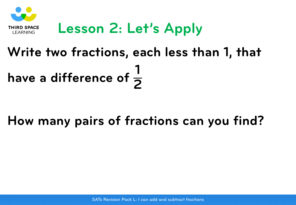

## **Lesson 2: Let's Apply**

## **Write two fractions, each less than 1, that have a difference of <sup>1</sup> 2**

#### **How many pairs of fractions can you find?**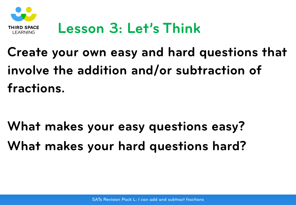

### **Lesson 3: Let's Think**

## **Create your own easy and hard questions that involve the addition and/or subtraction of fractions.**

**What makes your easy questions easy? What makes your hard questions hard?**